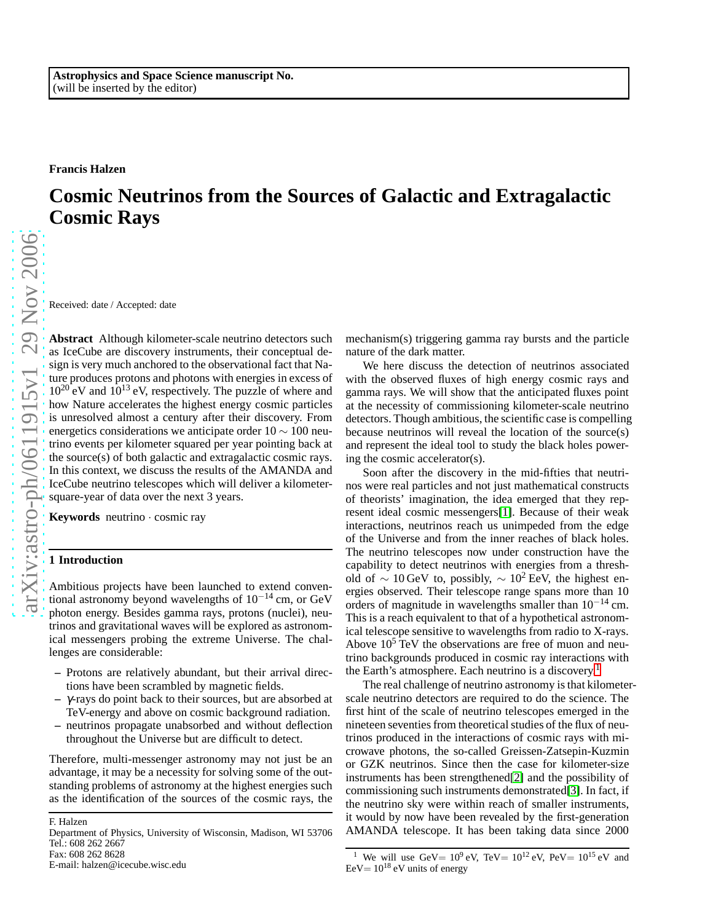**Francis Halzen**

# **Cosmic Neutrinos from the Sources of Galactic and Extragalactic Cosmic Rays**

Received: date / Accepted: date

**Abstract** Although kilometer-scale neutrino detectors such as IceCube are discovery instruments, their conceptual design is very much anchored to the observational fact that Nature produces protons and photons with energies in excess of  $10^{20}$  eV and  $10^{13}$  eV, respectively. The puzzle of where and how Nature accelerates the highest energy cosmic particles is unresolved almost a century after their discovery. From energetics considerations we anticipate order  $10 \sim 100$  neutrino events per kilometer squared per year pointing back at the source(s) of both galactic and extragalactic cosmic rays. In this context, we discuss the results of the AMANDA and IceCube neutrino telescopes which will deliver a kilometer square-year of data over the next 3 years.

**Keywords** neutrino · cosmic ray

## **1 Introduction**

Ambitious projects have been launched to extend conventional astronomy beyond wavelengths of  $10^{-14}$  cm, or GeV photon energy. Besides gamma rays, protons (nuclei), neutrinos and gravitational waves will be explored as astronomical messengers probing the extreme Universe. The challenges are considerable:

- **–** Protons are relatively abundant, but their arrival directions have been scrambled by magnetic fields.
- **–** γ-rays do point back to their sources, but are absorbed at TeV-energy and above on cosmic background radiation.
- **–** neutrinos propagate unabsorbed and without deflection throughout the Universe but are difficult to detect.

Therefore, multi-messenger astronomy may not just be an advantage, it may be a necessity for solving some of the outstanding problems of astronomy at the highest energies such as the identification of the sources of the cosmic rays, the

F. Halzen

Department of Physics, University of Wisconsin, Madison, WI 53706 Tel.: 608 262 2667 Fax: 608 262 8628

E-mail: halzen@icecube.wisc.edu

mechanism(s) triggering gamma ray bursts and the particle nature of the dark matter.

We here discuss the detection of neutrinos associated with the observed fluxes of high energy cosmic rays and gamma rays. We will show that the anticipated fluxes point at the necessity of commissioning kilometer-scale neutrin o detectors. Though ambitious, the scientific case is compelling because neutrinos will reveal the location of the source(s) and represent the ideal tool to study the black holes powering the cosmic accelerator(s).

Soon after the discovery in the mid-fifties that neutrinos were real particles and not just mathematical constructs of theorists' imagination, the idea emerged that they represent ideal cosmic messengers[\[1\]](#page-7-0). Because of their weak interactions, neutrinos reach us unimpeded from the edge of the Universe and from the inner reaches of black holes. The neutrino telescopes now under construction have the capability to detect neutrinos with energies from a threshold of  $\sim 10$  GeV to, possibly,  $\sim 10^2$  EeV, the highest energies observed. Their telescope range spans more than 10 orders of magnitude in wavelengths smaller than  $10^{-14}$  cm. This is a reach equivalent to that of a hypothetical astronom ical telescope sensitive to wavelengths from radio to X-rays. Above  $10^5$  TeV the observations are free of muon and neutrino backgrounds produced in cosmic ray interactions with the Earth's atmosphere. Each neutrino is a discovery. [1](#page-0-0)

The real challenge of neutrino astronomy is that kilometerscale neutrino detectors are required to do the science. The first hint of the scale of neutrino telescopes emerged in the nineteen seventies from theoretical studies of the flux of neutrinos produced in the interactions of cosmic rays with microwave photons, the so-called Greissen-Zatsepin-Kuzmin or GZK neutrinos. Since then the case for kilometer-size instruments has been strengthened[\[2\]](#page-7-1) and the possibility o f commissioning such instruments demonstrated[\[3\]](#page-7-2). In fact, if the neutrino sky were within reach of smaller instruments, it would by now have been revealed by the first-generation AMANDA telescope. It has been taking data since 2000

<span id="page-0-0"></span><sup>&</sup>lt;sup>1</sup> We will use GeV =  $10^9$  eV, TeV =  $10^{12}$  eV, PeV =  $10^{15}$  eV and  $EeV = 10^{18} eV$  units of energy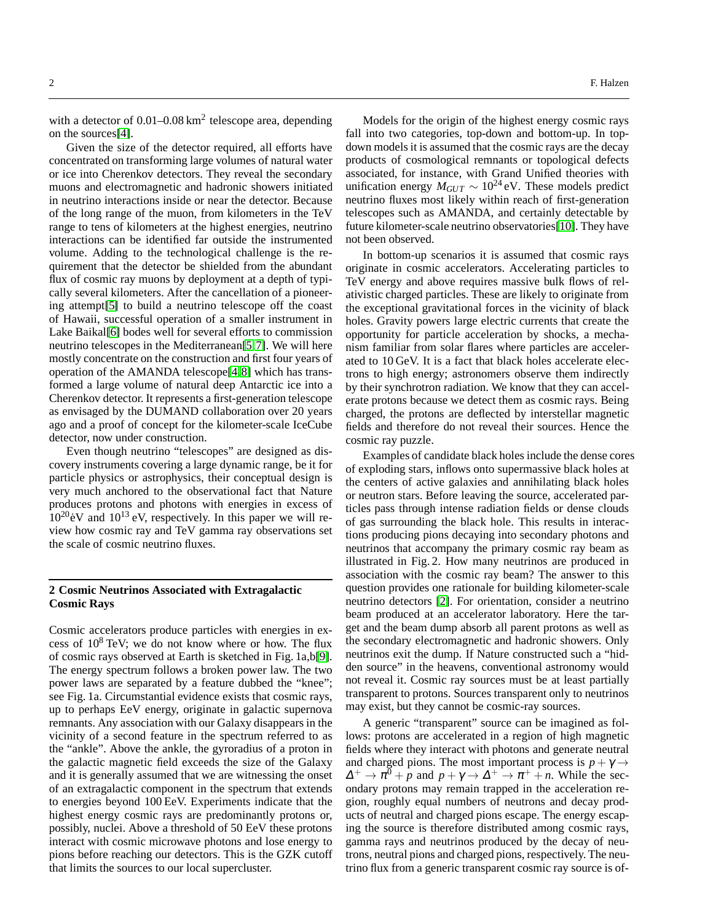with a detector of  $0.01 - 0.08$  km<sup>2</sup> telescope area, depending on the sources[\[4\]](#page-7-3).

Given the size of the detector required, all efforts have concentrated on transforming large volumes of natural water or ice into Cherenkov detectors. They reveal the secondary muons and electromagnetic and hadronic showers initiated in neutrino interactions inside or near the detector. Because of the long range of the muon, from kilometers in the TeV range to tens of kilometers at the highest energies, neutrino interactions can be identified far outside the instrumented volume. Adding to the technological challenge is the requirement that the detector be shielded from the abundant flux of cosmic ray muons by deployment at a depth of typically several kilometers. After the cancellation of a pioneering attempt[\[5\]](#page-7-4) to build a neutrino telescope off the coast of Hawaii, successful operation of a smaller instrument in Lake Baikal[\[6\]](#page-7-5) bodes well for several efforts to commission neutrino telescopes in the Mediterranean[\[5,](#page-7-4)[7\]](#page-7-6). We will here mostly concentrate on the construction and first four years of operation of the AMANDA telescope[\[4,](#page-7-3)[8\]](#page-7-7) which has transformed a large volume of natural deep Antarctic ice into a Cherenkov detector. It represents a first-generation telescope as envisaged by the DUMAND collaboration over 20 years ago and a proof of concept for the kilometer-scale IceCube detector, now under construction.

Even though neutrino "telescopes" are designed as discovery instruments covering a large dynamic range, be it for particle physics or astrophysics, their conceptual design is very much anchored to the observational fact that Nature produces protons and photons with energies in excess of  $10^{20}$  eV and  $10^{13}$  eV, respectively. In this paper we will review how cosmic ray and TeV gamma ray observations set the scale of cosmic neutrino fluxes.

# **2 Cosmic Neutrinos Associated with Extragalactic Cosmic Rays**

Cosmic accelerators produce particles with energies in excess of  $10^8$  TeV; we do not know where or how. The flux of cosmic rays observed at Earth is sketched in Fig. 1a,b[\[9\]](#page-7-8). The energy spectrum follows a broken power law. The two power laws are separated by a feature dubbed the "knee"; see Fig. 1a. Circumstantial evidence exists that cosmic rays, up to perhaps EeV energy, originate in galactic supernova remnants. Any association with our Galaxy disappears in the vicinity of a second feature in the spectrum referred to as the "ankle". Above the ankle, the gyroradius of a proton in the galactic magnetic field exceeds the size of the Galaxy and it is generally assumed that we are witnessing the onset of an extragalactic component in the spectrum that extends to energies beyond 100 EeV. Experiments indicate that the highest energy cosmic rays are predominantly protons or, possibly, nuclei. Above a threshold of 50 EeV these protons interact with cosmic microwave photons and lose energy to pions before reaching our detectors. This is the GZK cutoff that limits the sources to our local supercluster.

Models for the origin of the highest energy cosmic rays fall into two categories, top-down and bottom-up. In topdown models it is assumed that the cosmic rays are the decay products of cosmological remnants or topological defects associated, for instance, with Grand Unified theories with unification energy  $M_{GUT} \sim 10^{24}$  eV. These models predict neutrino fluxes most likely within reach of first-generation telescopes such as AMANDA, and certainly detectable by future kilometer-scale neutrino observatories[\[10\]](#page-7-9). They have not been observed.

In bottom-up scenarios it is assumed that cosmic rays originate in cosmic accelerators. Accelerating particles to TeV energy and above requires massive bulk flows of relativistic charged particles. These are likely to originate from the exceptional gravitational forces in the vicinity of black holes. Gravity powers large electric currents that create the opportunity for particle acceleration by shocks, a mechanism familiar from solar flares where particles are accelerated to 10 GeV. It is a fact that black holes accelerate electrons to high energy; astronomers observe them indirectly by their synchrotron radiation. We know that they can accelerate protons because we detect them as cosmic rays. Being charged, the protons are deflected by interstellar magnetic fields and therefore do not reveal their sources. Hence the cosmic ray puzzle.

Examples of candidate black holes include the dense cores of exploding stars, inflows onto supermassive black holes at the centers of active galaxies and annihilating black holes or neutron stars. Before leaving the source, accelerated particles pass through intense radiation fields or dense clouds of gas surrounding the black hole. This results in interactions producing pions decaying into secondary photons and neutrinos that accompany the primary cosmic ray beam as illustrated in Fig. 2. How many neutrinos are produced in association with the cosmic ray beam? The answer to this question provides one rationale for building kilometer-scale neutrino detectors [\[2\]](#page-7-1). For orientation, consider a neutrino beam produced at an accelerator laboratory. Here the target and the beam dump absorb all parent protons as well as the secondary electromagnetic and hadronic showers. Only neutrinos exit the dump. If Nature constructed such a "hidden source" in the heavens, conventional astronomy would not reveal it. Cosmic ray sources must be at least partially transparent to protons. Sources transparent only to neutrinos may exist, but they cannot be cosmic-ray sources.

A generic "transparent" source can be imagined as follows: protons are accelerated in a region of high magnetic fields where they interact with photons and generate neutral and charged pions. The most important process is  $p + \gamma \rightarrow$  $\Delta^+ \to \pi^0 + p$  and  $p + \gamma \to \Delta^+ \to \pi^+ + n$ . While the secondary protons may remain trapped in the acceleration region, roughly equal numbers of neutrons and decay products of neutral and charged pions escape. The energy escaping the source is therefore distributed among cosmic rays, gamma rays and neutrinos produced by the decay of neutrons, neutral pions and charged pions, respectively. The neutrino flux from a generic transparent cosmic ray source is of-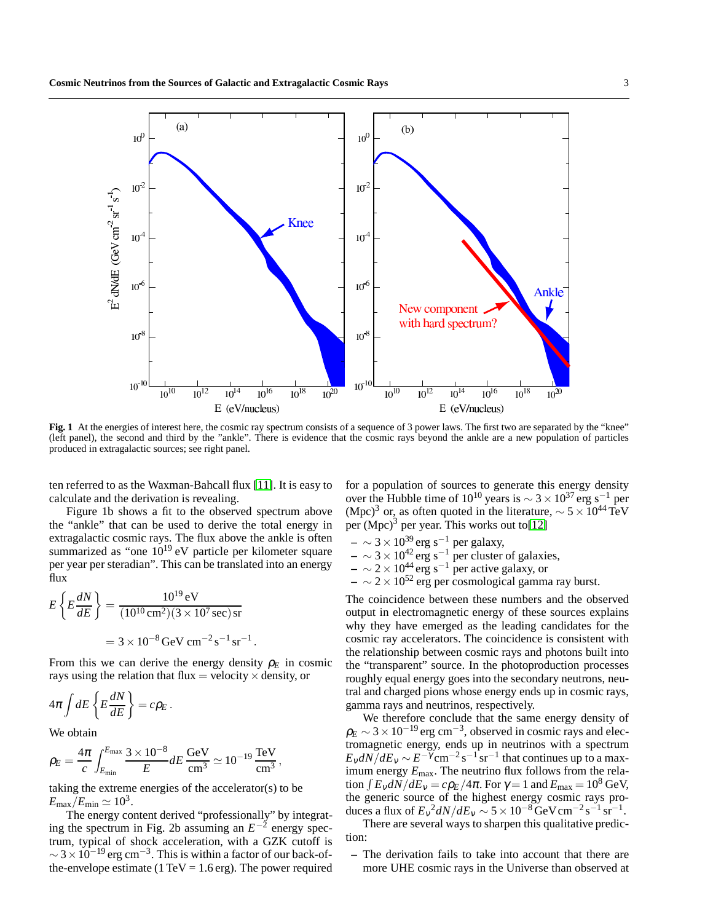

Fig. 1 At the energies of interest here, the cosmic ray spectrum consists of a sequence of 3 power laws. The first two are separated by the "knee" (left panel), the second and third by the "ankle". There is evidence that the cosmic rays beyond the ankle are a new population of particles produced in extragalactic sources; see right panel.

ten referred to as the Waxman-Bahcall flux [\[11\]](#page-7-10). It is easy to calculate and the derivation is revealing.

Figure 1b shows a fit to the observed spectrum above the "ankle" that can be used to derive the total energy in extragalactic cosmic rays. The flux above the ankle is often summarized as "one  $10^{19}$  eV particle per kilometer square per year per steradian". This can be translated into an energy flux

$$
E\left\{E\frac{dN}{dE}\right\} = \frac{10^{19} \text{ eV}}{(10^{10} \text{ cm}^2)(3 \times 10^7 \text{ sec}) \text{ sr}}
$$

$$
= 3 \times 10^{-8} \text{ GeV cm}^{-2} \text{ s}^{-1} \text{ sr}^{-1}.
$$

From this we can derive the energy density  $\rho_E$  in cosmic rays using the relation that  $flux = velocity \times density$ , or

$$
4\pi \int dE \left\{ E \frac{dN}{dE} \right\} = c \rho_E \, .
$$

We obtain

$$
\rho_E = \frac{4\pi}{c} \int_{E_{\rm min}}^{E_{\rm max}} \frac{3 \times 10^{-8}}{E} dE \, \frac{\rm GeV}{\rm cm^3} \simeq 10^{-19} \, \frac{\rm TeV}{\rm cm^3} \, ,
$$

taking the extreme energies of the accelerator(s) to be  $E_{\rm max}/E_{\rm min} \simeq 10^3$ .

The energy content derived "professionally" by integrating the spectrum in Fig. 2b assuming an  $E^{-2}$  energy spectrum, typical of shock acceleration, with a GZK cutoff is  $\sim$  3  $\times$  10<sup>-19</sup> erg cm<sup>-3</sup>. This is within a factor of our back-ofthe-envelope estimate (1 TeV =  $1.6$  erg). The power required for a population of sources to generate this energy density over the Hubble time of  $10^{10}$  years is  $\sim$  3 ×  $10^{37}$  erg s<sup>−1</sup> per (Mpc)<sup>3</sup> or, as often quoted in the literature,  $\sim 5 \times 10^{44}$  TeV per  $(Mpc)^3$  per year. This works out to[\[12\]](#page-7-11)

- **–** ∼ 3×10<sup>39</sup> erg s−<sup>1</sup> per galaxy,
- $-$  ~ 3 × 10<sup>42</sup> erg s<sup>-1</sup> per cluster of galaxies,
- **–** ∼ 2×10<sup>44</sup> erg s−<sup>1</sup> per active galaxy, or
- **–** ∼ 2×10<sup>52</sup> erg per cosmological gamma ray burst.

The coincidence between these numbers and the observed output in electromagnetic energy of these sources explains why they have emerged as the leading candidates for the cosmic ray accelerators. The coincidence is consistent with the relationship between cosmic rays and photons built into the "transparent" source. In the photoproduction processes roughly equal energy goes into the secondary neutrons, neutral and charged pions whose energy ends up in cosmic rays, gamma rays and neutrinos, respectively.

We therefore conclude that the same energy density of  $\rho_E \sim 3 \times 10^{-19}$  erg cm<sup>-3</sup>, observed in cosmic rays and electromagnetic energy, ends up in neutrinos with a spectrum  $E_V dN/dE_V \sim E^{-\gamma}$  cm<sup>-2</sup> s<sup>-1</sup> sr<sup>-1</sup> that continues up to a maximum energy  $E_{\text{max}}$ . The neutrino flux follows from the relation  $\int E_V dN/dE_V = c\rho_E/4\pi$ . For  $\gamma = 1$  and  $E_{\text{max}} = 10^8$  GeV, the generic source of the highest energy cosmic rays produces a flux of  $E_v^2 dN/dE_v \sim 5 \times 10^{-8} \text{GeV} \text{cm}^{-2} \text{s}^{-1} \text{sr}^{-1}$ .

There are several ways to sharpen this qualitative prediction:

**–** The derivation fails to take into account that there are more UHE cosmic rays in the Universe than observed at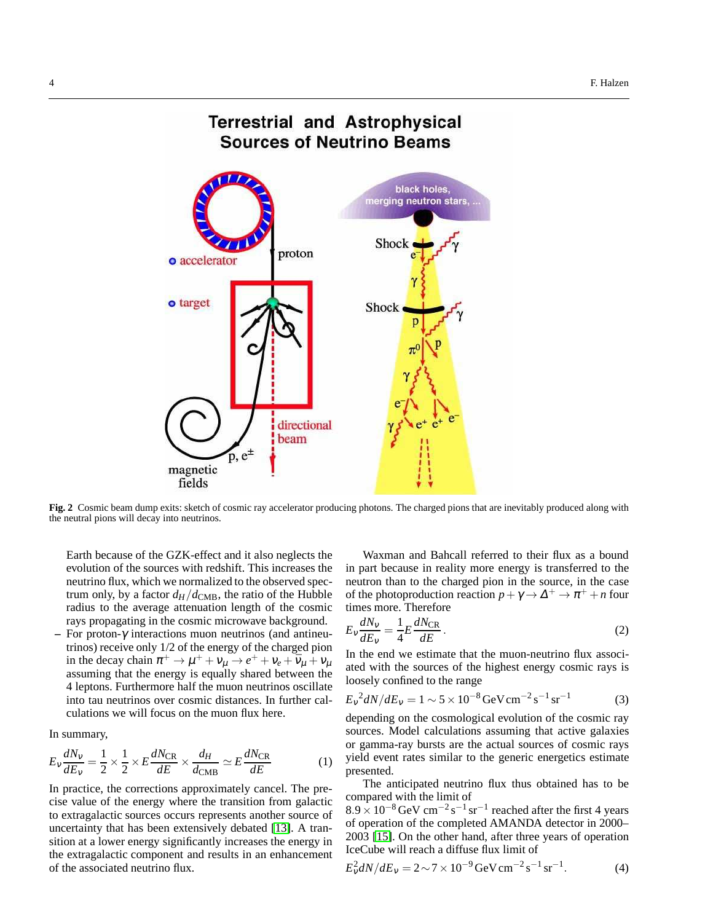

**Fig. 2** Cosmic beam dump exits: sketch of cosmic ray accelerator producing photons. The charged pions that are inevitably produced along with the neutral pions will decay into neutrinos.

Earth because of the GZK-effect and it also neglects the evolution of the sources with redshift. This increases the neutrino flux, which we normalized to the observed spectrum only, by a factor  $d_H/d_{\text{CMB}}$ , the ratio of the Hubble radius to the average attenuation length of the cosmic rays propagating in the cosmic microwave background.

**–** For proton-γ interactions muon neutrinos (and antineutrinos) receive only 1/2 of the energy of the charged pion in the decay chain  $\pi^+ \to \mu^+ + \nu_\mu \to e^+ + \nu_e + \bar{\nu}_\mu + \nu_\mu$ assuming that the energy is equally shared between the 4 leptons. Furthermore half the muon neutrinos oscillate into tau neutrinos over cosmic distances. In further calculations we will focus on the muon flux here.

In summary,

$$
E_v \frac{dN_v}{dE_v} = \frac{1}{2} \times \frac{1}{2} \times E \frac{dN_{CR}}{dE} \times \frac{d_H}{d_{CMB}} \simeq E \frac{dN_{CR}}{dE}
$$
(1)

In practice, the corrections approximately cancel. The precise value of the energy where the transition from galactic to extragalactic sources occurs represents another source of uncertainty that has been extensively debated [\[13\]](#page-7-12). A transition at a lower energy significantly increases the energy in the extragalactic component and results in an enhancement of the associated neutrino flux.

Waxman and Bahcall referred to their flux as a bound in part because in reality more energy is transferred to the neutron than to the charged pion in the source, in the case of the photoproduction reaction  $p + \gamma \rightarrow \Delta^+ \rightarrow \pi^+ + n$  four times more. Therefore

$$
E_v \frac{dN_v}{dE_v} = \frac{1}{4} E \frac{dN_{\text{CR}}}{dE} \,. \tag{2}
$$

In the end we estimate that the muon-neutrino flux associated with the sources of the highest energy cosmic rays is loosely confined to the range

$$
E_v^2 dN/dE_v = 1 \sim 5 \times 10^{-8} \,\text{GeV} \,\text{cm}^{-2} \,\text{s}^{-1} \,\text{sr}^{-1} \tag{3}
$$

depending on the cosmological evolution of the cosmic ray sources. Model calculations assuming that active galaxies or gamma-ray bursts are the actual sources of cosmic rays yield event rates similar to the generic energetics estimate presented.

The anticipated neutrino flux thus obtained has to be compared with the limit of

 $8.9 \times 10^{-8}$  GeV cm<sup>-2</sup>s<sup>-1</sup> sr<sup>-1</sup> reached after the first 4 years of operation of the completed AMANDA detector in 2000– 2003 [\[15\]](#page-7-13). On the other hand, after three years of operation IceCube will reach a diffuse flux limit of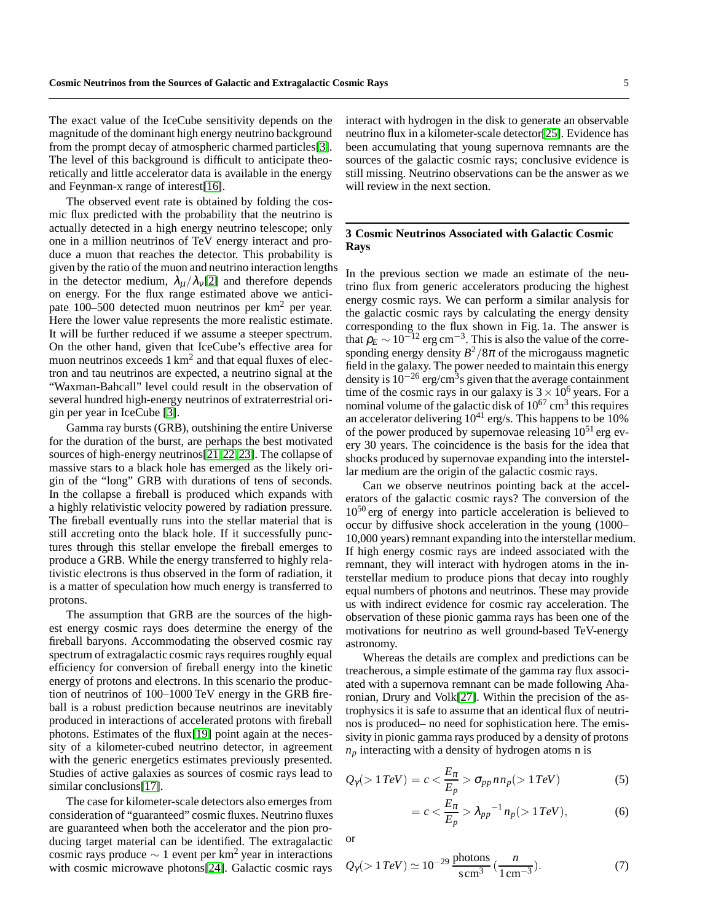The exact value of the IceCube sensitivity depends on the magnitude of the dominant high energy neutrino background from the prompt decay of atmospheric charmed particles[\[3\]](#page-7-2). The level of this background is difficult to anticipate theoretically and little accelerator data is available in the energy and Feynman-x range of interest[\[16\]](#page-7-14).

The observed event rate is obtained by folding the cosmic flux predicted with the probability that the neutrino is actually detected in a high energy neutrino telescope; only one in a million neutrinos of TeV energy interact and produce a muon that reaches the detector. This probability is given by the ratio of the muon and neutrino interaction lengths in the detector medium,  $\lambda_{\mu}/\lambda_{\nu}$ [\[2\]](#page-7-1) and therefore depends on energy. For the flux range estimated above we anticipate 100–500 detected muon neutrinos per  $km^2$  per year. Here the lower value represents the more realistic estimate. It will be further reduced if we assume a steeper spectrum. On the other hand, given that IceCube's effective area for muon neutrinos exceeds  $1 \text{ km}^2$  and that equal fluxes of electron and tau neutrinos are expected, a neutrino signal at the "Waxman-Bahcall" level could result in the observation of several hundred high-energy neutrinos of extraterrestrial origin per year in IceCube [\[3\]](#page-7-2).

Gamma ray bursts (GRB), outshining the entire Universe for the duration of the burst, are perhaps the best motivated sources of high-energy neutrinos[\[21,](#page-7-15)[22,](#page-7-16)[23\]](#page-7-17). The collapse of massive stars to a black hole has emerged as the likely origin of the "long" GRB with durations of tens of seconds. In the collapse a fireball is produced which expands with a highly relativistic velocity powered by radiation pressure. The fireball eventually runs into the stellar material that is still accreting onto the black hole. If it successfully punctures through this stellar envelope the fireball emerges to produce a GRB. While the energy transferred to highly relativistic electrons is thus observed in the form of radiation, it is a matter of speculation how much energy is transferred to protons.

The assumption that GRB are the sources of the highest energy cosmic rays does determine the energy of the fireball baryons. Accommodating the observed cosmic ray spectrum of extragalactic cosmic rays requires roughly equal efficiency for conversion of fireball energy into the kinetic energy of protons and electrons. In this scenario the production of neutrinos of 100–1000 TeV energy in the GRB fireball is a robust prediction because neutrinos are inevitably produced in interactions of accelerated protons with fireball photons. Estimates of the flux[\[19\]](#page-7-18) point again at the necessity of a kilometer-cubed neutrino detector, in agreement with the generic energetics estimates previously presented. Studies of active galaxies as sources of cosmic rays lead to similar conclusions<sup>[\[17\]](#page-7-19)</sup>.

The case for kilometer-scale detectors also emerges from consideration of "guaranteed" cosmic fluxes. Neutrino fluxes are guaranteed when both the accelerator and the pion producing target material can be identified. The extragalactic cosmic rays produce  $\sim 1$  event per km<sup>2</sup> year in interactions with cosmic microwave photons[\[24\]](#page-7-20). Galactic cosmic rays

interact with hydrogen in the disk to generate an observable neutrino flux in a kilometer-scale detector[\[25\]](#page-7-21). Evidence has been accumulating that young supernova remnants are the sources of the galactic cosmic rays; conclusive evidence is still missing. Neutrino observations can be the answer as we will review in the next section.

# **3 Cosmic Neutrinos Associated with Galactic Cosmic Rays**

In the previous section we made an estimate of the neutrino flux from generic accelerators producing the highest energy cosmic rays. We can perform a similar analysis for the galactic cosmic rays by calculating the energy density corresponding to the flux shown in Fig. 1a. The answer is that  $\rho_E \sim 10^{-12}$  erg cm<sup>-3</sup>. This is also the value of the corresponding energy density  $B^2/8\pi$  of the microgauss magnetic field in the galaxy. The power needed to maintain this energy density is  $10^{-26}$  erg/cm<sup>3</sup>s given that the average containment time of the cosmic rays in our galaxy is  $3 \times 10^6$  years. For a nominal volume of the galactic disk of  $10^{67}$  cm<sup>3</sup> this requires an accelerator delivering  $10^{41}$  erg/s. This happens to be 10% of the power produced by supernovae releasing  $10^{51}$  erg every 30 years. The coincidence is the basis for the idea that shocks produced by supernovae expanding into the interstellar medium are the origin of the galactic cosmic rays.

Can we observe neutrinos pointing back at the accelerators of the galactic cosmic rays? The conversion of the 10<sup>50</sup> erg of energy into particle acceleration is believed to occur by diffusive shock acceleration in the young (1000– 10,000 years) remnant expanding into the interstellar medium. If high energy cosmic rays are indeed associated with the remnant, they will interact with hydrogen atoms in the interstellar medium to produce pions that decay into roughly equal numbers of photons and neutrinos. These may provide us with indirect evidence for cosmic ray acceleration. The observation of these pionic gamma rays has been one of the motivations for neutrino as well ground-based TeV-energy astronomy.

Whereas the details are complex and predictions can be treacherous, a simple estimate of the gamma ray flux associated with a supernova remnant can be made following Aharonian, Drury and Volk[\[27\]](#page-7-22). Within the precision of the astrophysics it is safe to assume that an identical flux of neutrinos is produced– no need for sophistication here. The emissivity in pionic gamma rays produced by a density of protons  $n<sub>p</sub>$  interacting with a density of hydrogen atoms n is

$$
Q_{\gamma}(>1\,TeV) = c < \frac{E_{\pi}}{E_p} > \sigma_{pp}\,nn_p(>1\,TeV) \tag{5}
$$

$$
=c<\frac{E_{\pi}}{E_p}>\lambda_{pp}^{-1}n_p(>1\,TeV),\tag{6}
$$

or

$$
Q_{\gamma}(>1\,TeV) \simeq 10^{-29} \frac{\text{photons}}{\text{scm}^3} \left(\frac{n}{1\,\text{cm}^{-3}}\right). \tag{7}
$$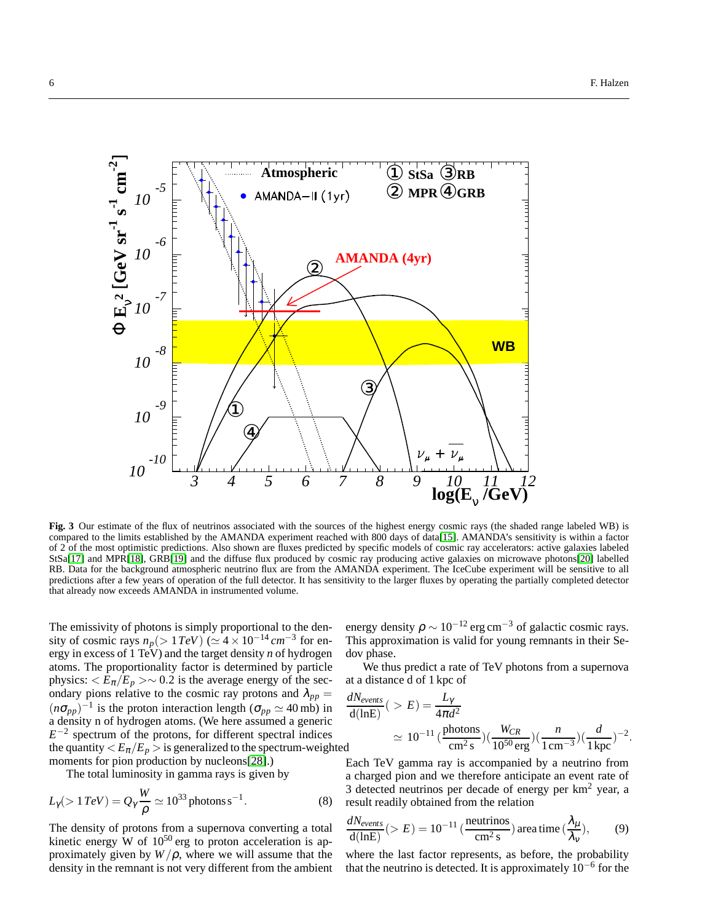

**Fig. 3** Our estimate of the flux of neutrinos associated with the sources of the highest energy cosmic rays (the shaded range labeled WB) is compared to the limits established by the AMANDA experiment reached with 800 days of data[\[15\]](#page-7-13). AMANDA's sensitivity is within a factor of 2 of the most optimistic predictions. Also shown are fluxes predicted by specific models of cosmic ray accelerators: active galaxies labeled StSa[\[17\]](#page-7-19) and MPR[\[18\]](#page-7-23), GRB[\[19\]](#page-7-18) and the diffuse flux produced by cosmic ray producing active galaxies on microwave photons[\[20\]](#page-7-24) labelled RB. Data for the background atmospheric neutrino flux are from the AMANDA experiment. The IceCube experiment will be sensitive to all predictions after a few years of operation of the full detector. It has sensitivity to the larger fluxes by operating the partially completed detector that already now exceeds AMANDA in instrumented volume.

The emissivity of photons is simply proportional to the density of cosmic rays  $n_p$ (> 1*TeV*) ( $\simeq$  4 × 10<sup>-14</sup> *cm*<sup>-3</sup> for energy in excess of 1 TeV) and the target density *n* of hydrogen atoms. The proportionality factor is determined by particle physics:  $\langle E_{\pi}/E_p \rangle \sim 0.2$  is the average energy of the secondary pions relative to the cosmic ray protons and  $\lambda_{pp}$  =  $(n\sigma_{pp})^{-1}$  is the proton interaction length ( $\sigma_{pp} \simeq 40$  mb) in a density n of hydrogen atoms. (We here assumed a generic  $E^{-2}$  spectrum of the protons, for different spectral indices the quantity  $\langle E_\pi/E_p \rangle$  is generalized to the spectrum-weighted moments for pion production by nucleons[\[28\]](#page-7-25).)

The total luminosity in gamma rays is given by

$$
L_{\gamma}(>1\,TeV) = Q_{\gamma} \frac{W}{\rho} \simeq 10^{33} \,\text{photons}\,\text{s}^{-1}.\tag{8}
$$

The density of protons from a supernova converting a total kinetic energy W of  $10^{50}$  erg to proton acceleration is approximately given by  $W/\rho$ , where we will assume that the density in the remnant is not very different from the ambient

energy density  $\rho \sim 10^{-12}$  erg cm<sup>-3</sup> of galactic cosmic rays. This approximation is valid for young remnants in their Sedov phase.

We thus predict a rate of TeV photons from a supernova at a distance d of 1 kpc of

$$
\frac{dN_{events}}{d(lnE)}(>E) = \frac{L_{\gamma}}{4\pi d^2}
$$
  

$$
\approx 10^{-11} \left(\frac{\text{photons}}{\text{cm}^2 \text{s}}\right) \left(\frac{W_{CR}}{10^{50} \text{erg}}\right) \left(\frac{n}{1 \text{cm}^{-3}}\right) \left(\frac{d}{1 \text{kpc}}\right)^{-2}.
$$

Each TeV gamma ray is accompanied by a neutrino from a charged pion and we therefore anticipate an event rate of 3 detected neutrinos per decade of energy per  $km^2$  year, a result readily obtained from the relation

$$
\frac{dN_{events}}{d(lnE)}(>E) = 10^{-11} \left(\frac{\text{neutrinos}}{\text{cm}^2 \text{ s}}\right) \text{area time } \left(\frac{\lambda_{\mu}}{\lambda_{\nu}}\right),\tag{9}
$$

where the last factor represents, as before, the probability that the neutrino is detected. It is approximately  $10^{-6}$  for the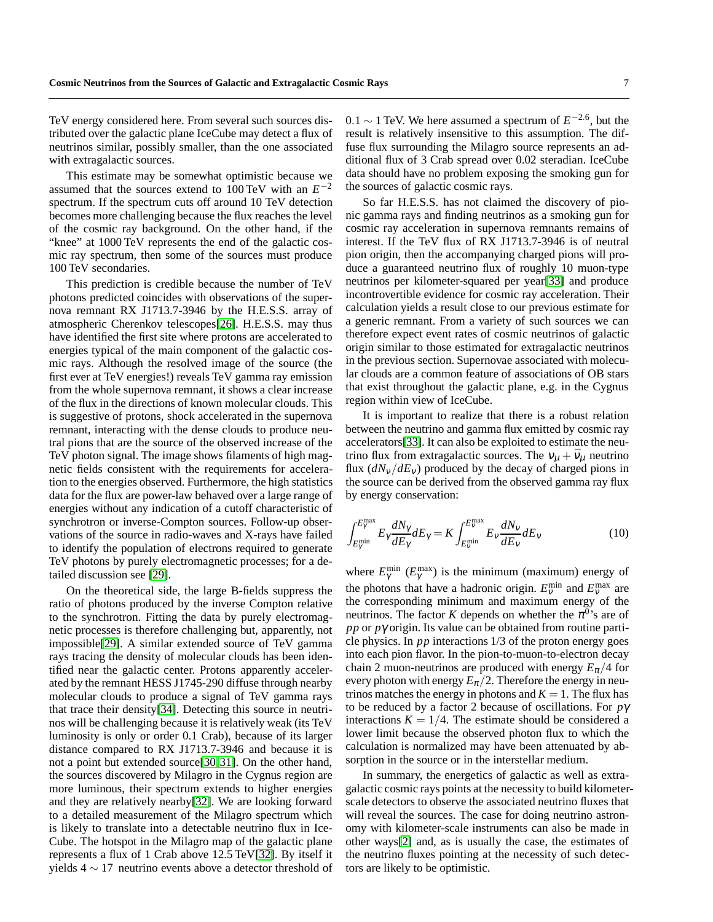TeV energy considered here. From several such sources distributed over the galactic plane IceCube may detect a flux of neutrinos similar, possibly smaller, than the one associated with extragalactic sources.

This estimate may be somewhat optimistic because we assumed that the sources extend to 100 TeV with an  $E^{-2}$ spectrum. If the spectrum cuts off around 10 TeV detection becomes more challenging because the flux reaches the level of the cosmic ray background. On the other hand, if the "knee" at 1000 TeV represents the end of the galactic cosmic ray spectrum, then some of the sources must produce 100 TeV secondaries.

This prediction is credible because the number of TeV photons predicted coincides with observations of the supernova remnant RX J1713.7-3946 by the H.E.S.S. array of atmospheric Cherenkov telescopes[\[26\]](#page-7-26). H.E.S.S. may thus have identified the first site where protons are accelerated to energies typical of the main component of the galactic cosmic rays. Although the resolved image of the source (the first ever at TeV energies!) reveals TeV gamma ray emission from the whole supernova remnant, it shows a clear increase of the flux in the directions of known molecular clouds. This is suggestive of protons, shock accelerated in the supernova remnant, interacting with the dense clouds to produce neutral pions that are the source of the observed increase of the TeV photon signal. The image shows filaments of high magnetic fields consistent with the requirements for acceleration to the energies observed. Furthermore, the high statistics data for the flux are power-law behaved over a large range of energies without any indication of a cutoff characteristic of synchrotron or inverse-Compton sources. Follow-up observations of the source in radio-waves and X-rays have failed to identify the population of electrons required to generate TeV photons by purely electromagnetic processes; for a detailed discussion see [\[29\]](#page-7-27).

On the theoretical side, the large B-fields suppress the ratio of photons produced by the inverse Compton relative to the synchrotron. Fitting the data by purely electromagnetic processes is therefore challenging but, apparently, not impossible[\[29\]](#page-7-27). A similar extended source of TeV gamma rays tracing the density of molecular clouds has been identified near the galactic center. Protons apparently accelerated by the remnant HESS J1745-290 diffuse through nearby molecular clouds to produce a signal of TeV gamma rays that trace their density[\[34\]](#page-7-28). Detecting this source in neutrinos will be challenging because it is relatively weak (its TeV luminosity is only or order 0.1 Crab), because of its larger distance compared to RX J1713.7-3946 and because it is not a point but extended source[\[30,](#page-7-29)[31\]](#page-7-30). On the other hand, the sources discovered by Milagro in the Cygnus region are more luminous, their spectrum extends to higher energies and they are relatively nearby[\[32\]](#page-7-31). We are looking forward to a detailed measurement of the Milagro spectrum which is likely to translate into a detectable neutrino flux in Ice-Cube. The hotspot in the Milagro map of the galactic plane represents a flux of 1 Crab above 12.5 TeV[\[32\]](#page-7-31). By itself it yields 4 ∼ 17 neutrino events above a detector threshold of

0.1 ∼ 1 TeV. We here assumed a spectrum of  $E^{-2.6}$ , but the result is relatively insensitive to this assumption. The diffuse flux surrounding the Milagro source represents an additional flux of 3 Crab spread over 0.02 steradian. IceCube data should have no problem exposing the smoking gun for the sources of galactic cosmic rays.

So far H.E.S.S. has not claimed the discovery of pionic gamma rays and finding neutrinos as a smoking gun for cosmic ray acceleration in supernova remnants remains of interest. If the TeV flux of RX J1713.7-3946 is of neutral pion origin, then the accompanying charged pions will produce a guaranteed neutrino flux of roughly 10 muon-type neutrinos per kilometer-squared per year[\[33\]](#page-7-32) and produce incontrovertible evidence for cosmic ray acceleration. Their calculation yields a result close to our previous estimate for a generic remnant. From a variety of such sources we can therefore expect event rates of cosmic neutrinos of galactic origin similar to those estimated for extragalactic neutrinos in the previous section. Supernovae associated with molecular clouds are a common feature of associations of OB stars that exist throughout the galactic plane, e.g. in the Cygnus region within view of IceCube.

It is important to realize that there is a robust relation between the neutrino and gamma flux emitted by cosmic ray accelerators[\[33\]](#page-7-32). It can also be exploited to estimate the neutrino flux from extragalactic sources. The  $v_{\mu} + \bar{v}_{\mu}$  neutrino flux  $\left(\frac{dN_{\rm V}}{dE_{\rm V}}\right)$  produced by the decay of charged pions in the source can be derived from the observed gamma ray flux by energy conservation:

$$
\int_{E_{\gamma}^{\min}}^{E_{\gamma}^{\max}} E_{\gamma} \frac{dN_{\gamma}}{dE_{\gamma}} dE_{\gamma} = K \int_{E_{\gamma}^{\min}}^{E_{\gamma}^{\max}} E_{\gamma} \frac{dN_{\gamma}}{dE_{\gamma}} dE_{\gamma}
$$
(10)

where  $E_{\gamma}^{\min}$  ( $E_{\gamma}^{\max}$ ) is the minimum (maximum) energy of the photons that have a hadronic origin.  $E_v^{\text{min}}$  and  $E_v^{\text{max}}$  are the corresponding minimum and maximum energy of the neutrinos. The factor *K* depends on whether the  $\pi^{0}$ 's are of *pp* or *p*γ origin. Its value can be obtained from routine particle physics. In *pp* interactions 1/3 of the proton energy goes into each pion flavor. In the pion-to-muon-to-electron decay chain 2 muon-neutrinos are produced with energy  $E_{\pi}/4$  for every photon with energy  $E_{\pi}/2$ . Therefore the energy in neutrinos matches the energy in photons and  $K = 1$ . The flux has to be reduced by a factor 2 because of oscillations. For *p*γ interactions  $K = 1/4$ . The estimate should be considered a lower limit because the observed photon flux to which the calculation is normalized may have been attenuated by absorption in the source or in the interstellar medium.

In summary, the energetics of galactic as well as extragalactic cosmic rays points at the necessity to build kilometerscale detectors to observe the associated neutrino fluxes that will reveal the sources. The case for doing neutrino astronomy with kilometer-scale instruments can also be made in other ways[\[2\]](#page-7-1) and, as is usually the case, the estimates of the neutrino fluxes pointing at the necessity of such detectors are likely to be optimistic.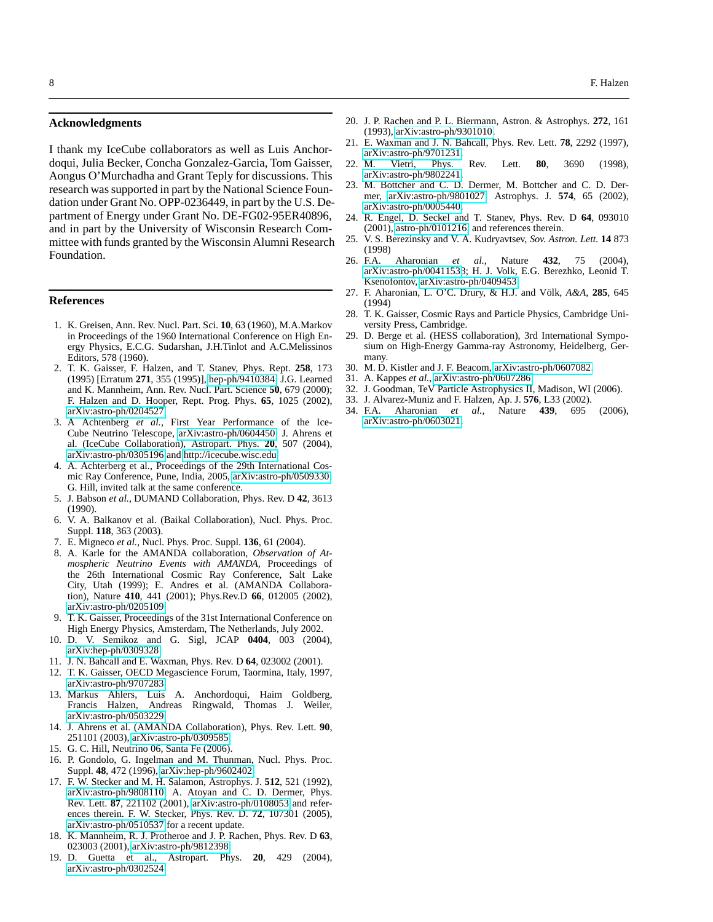## **Acknowledgments**

I thank my IceCube collaborators as well as Luis Anchordoqui, Julia Becker, Concha Gonzalez-Garcia, Tom Gaisser, Aongus O'Murchadha and Grant Teply for discussions. This research was supported in part by the National Science Foundation under Grant No. OPP-0236449, in part by the U.S. Department of Energy under Grant No. DE-FG02-95ER40896, and in part by the University of Wisconsin Research Committee with funds granted by the Wisconsin Alumni Research Foundation.

#### **References**

- <span id="page-7-0"></span>1. K. Greisen, Ann. Rev. Nucl. Part. Sci. **10**, 63 (1960), M.A.Markov in Proceedings of the 1960 International Conference on High Energy Physics, E.C.G. Sudarshan, J.H.Tinlot and A.C.Melissinos Editors, 578 (1960).
- <span id="page-7-1"></span>2. T. K. Gaisser, F. Halzen, and T. Stanev, Phys. Rept. **258**, 173 (1995) [Erratum **271**, 355 (1995)], [hep-ph/9410384;](http://arxiv.org/abs/hep-ph/9410384) J.G. Learned and K. Mannheim, Ann. Rev. Nucl. Part. Science **50**, 679 (2000); F. Halzen and D. Hooper, Rept. Prog. Phys. **65**, 1025 (2002), [arXiv:astro-ph/0204527.](http://arxiv.org/abs/astro-ph/0204527)
- <span id="page-7-2"></span>3. A Achtenberg *et al.*, First Year Performance of the Ice-Cube Neutrino Telescope, [arXiv:astro-ph/0604450;](http://arxiv.org/abs/astro-ph/0604450) J. Ahrens et al. (IceCube Collaboration), Astropart. Phys. **20**, 507 (2004), [arXiv:astro-ph/0305196](http://arxiv.org/abs/astro-ph/0305196) and [http://icecube.wisc.edu.](http://icecube.wisc.edu)
- <span id="page-7-3"></span>4. A. Achterberg et al., Proceedings of the 29th International Cosmic Ray Conference, Pune, India, 2005, [arXiv:astro-ph/0509330;](http://arxiv.org/abs/astro-ph/0509330) G. Hill, invited talk at the same conference.
- <span id="page-7-4"></span>5. J. Babson *et al.*, DUMAND Collaboration, Phys. Rev. D **42**, 3613 (1990).
- <span id="page-7-5"></span>6. V. A. Balkanov et al. (Baikal Collaboration), Nucl. Phys. Proc. Suppl. **118**, 363 (2003).
- <span id="page-7-7"></span><span id="page-7-6"></span>7. E. Migneco *et al.*, Nucl. Phys. Proc. Suppl. **136**, 61 (2004).
- 8. A. Karle for the AMANDA collaboration, *Observation of Atmospheric Neutrino Events with AMANDA*, Proceedings of the 26th International Cosmic Ray Conference, Salt Lake City, Utah (1999); E. Andres et al. (AMANDA Collaboration), Nature **410**, 441 (2001); Phys.Rev.D **66**, 012005 (2002), [arXiv:astro-ph/0205109.](http://arxiv.org/abs/astro-ph/0205109)
- <span id="page-7-8"></span>9. T. K. Gaisser, Proceedings of the 31st International Conference on High Energy Physics, Amsterdam, The Netherlands, July 2002.
- <span id="page-7-9"></span>10. D. V. Semikoz and G. Sigl, JCAP **0404**, 003 (2004), [arXiv:hep-ph/0309328.](http://arxiv.org/abs/hep-ph/0309328)
- <span id="page-7-11"></span><span id="page-7-10"></span>11. J. N. Bahcall and E. Waxman, Phys. Rev. D **64**, 023002 (2001).
- 12. T. K. Gaisser, OECD Megascience Forum, Taormina, Italy, 1997, [arXiv:astro-ph/9707283.](http://arxiv.org/abs/astro-ph/9707283)
- <span id="page-7-12"></span>13. Markus Ahlers, Luis A. Anchordoqui, Haim Goldberg, Francis Halzen, Andreas Ringwald, Thomas J. Weiler, [arXiv:astro-ph/0503229.](http://arxiv.org/abs/astro-ph/0503229)
- 14. J. Ahrens et al. (AMANDA Collaboration), Phys. Rev. Lett. **90**, 251101 (2003), [arXiv:astro-ph/0309585.](http://arxiv.org/abs/astro-ph/0309585)
- <span id="page-7-14"></span><span id="page-7-13"></span>15. G. C. Hill, Neutrino 06, Santa Fe (2006).
- 16. P. Gondolo, G. Ingelman and M. Thunman, Nucl. Phys. Proc. Suppl. **48**, 472 (1996), [arXiv:hep-ph/9602402.](http://arxiv.org/abs/hep-ph/9602402)
- <span id="page-7-19"></span>17. F. W. Stecker and M. H. Salamon, Astrophys. J. **512**, 521 (1992), [arXiv:astro-ph/9808110;](http://arxiv.org/abs/astro-ph/9808110) A. Atoyan and C. D. Dermer, Phys. Rev. Lett. **87**, 221102 (2001), [arXiv:astro-ph/0108053](http://arxiv.org/abs/astro-ph/0108053) and references therein. F. W. Stecker, Phys. Rev. D. **72**, 107301 (2005), [arXiv:astro-ph/0510537](http://arxiv.org/abs/astro-ph/0510537) for a recent update.
- <span id="page-7-23"></span>18. K. Mannheim, R. J. Protheroe and J. P. Rachen, Phys. Rev. D **63**, 023003 (2001), [arXiv:astro-ph/9812398.](http://arxiv.org/abs/astro-ph/9812398)
- <span id="page-7-18"></span>19. D. Guetta et al., Astropart. Phys. **20**, 429 (2004), [arXiv:astro-ph/0302524](http://arxiv.org/abs/astro-ph/0302524)
- <span id="page-7-24"></span>20. J. P. Rachen and P. L. Biermann, Astron. & Astrophys. **272**, 161 (1993), [arXiv:astro-ph/9301010.](http://arxiv.org/abs/astro-ph/9301010)
- <span id="page-7-15"></span>21. E. Waxman and J. N. Bahcall, Phys. Rev. Lett. **78**, 2292 (1997), [arXiv:astro-ph/9701231.](http://arxiv.org/abs/astro-ph/9701231)
- <span id="page-7-16"></span>22. M. Vietri, Phys. Rev. Lett. **80**, 3690 (1998), [arXiv:astro-ph/9802241.](http://arxiv.org/abs/astro-ph/9802241)
- <span id="page-7-17"></span>23. M. Bottcher and C. D. Dermer, M. Bottcher and C. D. Dermer, [arXiv:astro-ph/9801027,](http://arxiv.org/abs/astro-ph/9801027) Astrophys. J. **574**, 65 (2002), [arXiv:astro-ph/0005440.](http://arxiv.org/abs/astro-ph/0005440)
- <span id="page-7-20"></span>24. R. Engel, D. Seckel and T. Stanev, Phys. Rev. D **64**, 093010 (2001), [astro-ph/0101216,](http://arxiv.org/abs/astro-ph/0101216) and references therein.
- <span id="page-7-21"></span>25. V. S. Berezinsky and V. A. Kudryavtsev, *Sov. Astron. Lett.* **14** 873  $(1998)$ <br>26. F.A.
- <span id="page-7-26"></span>26. F.A. Aharonian *et al.*, Nature **432**, 75 (2004), [arXiv:astro-ph/00411533](http://arxiv.org/abs/astro-ph/0041153); H. J. Volk, E.G. Berezhko, Leonid T. Ksenofontov, [arXiv:astro-ph/0409453.](http://arxiv.org/abs/astro-ph/0409453)
- <span id="page-7-22"></span>27. F. Aharonian, L. O'C. Drury, & H.J. and Völk, *A&A*, 285, 645 (1994)
- <span id="page-7-25"></span>28. T. K. Gaisser, Cosmic Rays and Particle Physics, Cambridge University Press, Cambridge.
- <span id="page-7-27"></span>29. D. Berge et al. (HESS collaboration), 3rd International Symposium on High-Energy Gamma-ray Astronomy, Heidelberg, Germany.
- <span id="page-7-30"></span><span id="page-7-29"></span>30. M. D. Kistler and J. F. Beacom, [arXiv:astro-ph/0607082.](http://arxiv.org/abs/astro-ph/0607082)
- <span id="page-7-31"></span>31. A. Kappes *et al.*, [arXiv:astro-ph/0607286.](http://arxiv.org/abs/astro-ph/0607286)
- <span id="page-7-32"></span>32. J. Goodman, TeV Particle Astrophysics II, Madison, WI (2006).
- <span id="page-7-28"></span>33. J. Alvarez-Muniz and F. Halzen, Ap. J. **576**, L33 (2002).
- 34. F.A. Aharonian *et al.*, Nature **439**, 695 (2006), [arXiv:astro-ph/0603021.](http://arxiv.org/abs/astro-ph/0603021)